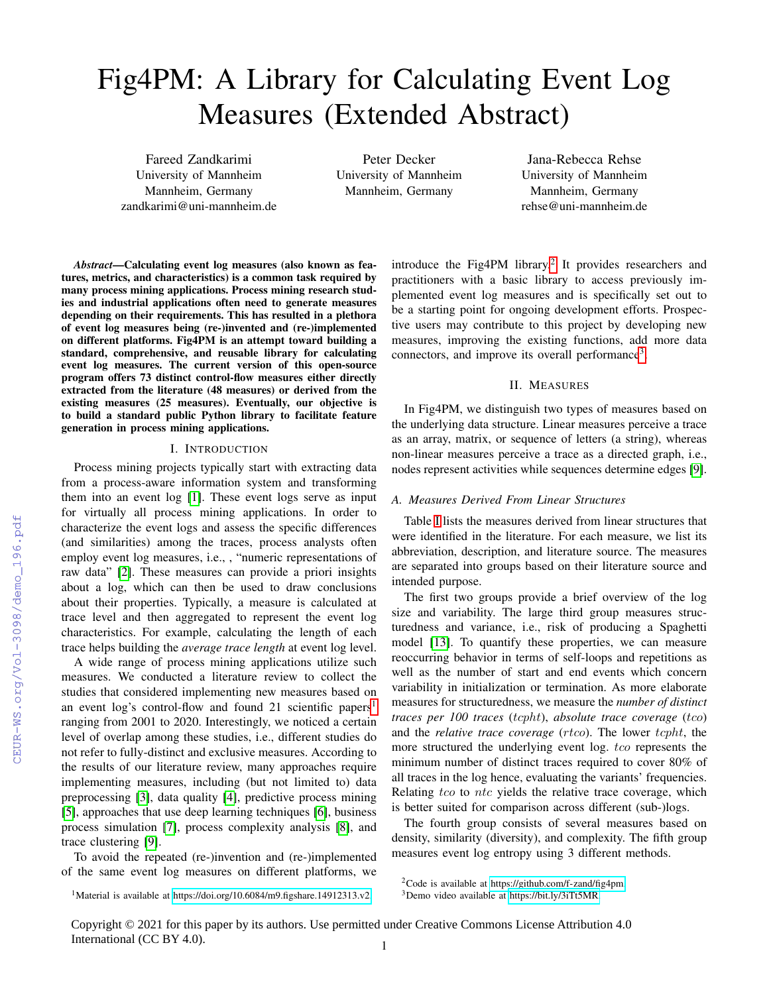# Fig4PM: A Library for Calculating Event Log Measures (Extended Abstract)

Fareed Zandkarimi University of Mannheim Mannheim, Germany zandkarimi@uni-mannheim.de

Peter Decker University of Mannheim Mannheim, Germany

Jana-Rebecca Rehse University of Mannheim Mannheim, Germany rehse@uni-mannheim.de

*Abstract*—Calculating event log measures (also known as features, metrics, and characteristics) is a common task required by many process mining applications. Process mining research studies and industrial applications often need to generate measures depending on their requirements. This has resulted in a plethora of event log measures being (re-)invented and (re-)implemented on different platforms. Fig4PM is an attempt toward building a standard, comprehensive, and reusable library for calculating event log measures. The current version of this open-source program offers 73 distinct control-flow measures either directly extracted from the literature (48 measures) or derived from the existing measures (25 measures). Eventually, our objective is to build a standard public Python library to facilitate feature generation in process mining applications.

#### I. INTRODUCTION

Process mining projects typically start with extracting data from a process-aware information system and transforming them into an event log [\[1\]](#page--1-0). These event logs serve as input for virtually all process mining applications. In order to characterize the event logs and assess the specific differences (and similarities) among the traces, process analysts often employ event log measures, i.e., , "numeric representations of raw data" [\[2\]](#page--1-1). These measures can provide a priori insights about a log, which can then be used to draw conclusions about their properties. Typically, a measure is calculated at trace level and then aggregated to represent the event log characteristics. For example, calculating the length of each trace helps building the *average trace length* at event log level.

A wide range of process mining applications utilize such measures. We conducted a literature review to collect the studies that considered implementing new measures based on an event log's control-flow and found 2[1](#page-0-0) scientific papers<sup>1</sup> ranging from 2001 to 2020. Interestingly, we noticed a certain level of overlap among these studies, i.e., different studies do not refer to fully-distinct and exclusive measures. According to the results of our literature review, many approaches require implementing measures, including (but not limited to) data preprocessing [\[3\]](#page--1-2), data quality [\[4\]](#page--1-3), predictive process mining [\[5\]](#page--1-4), approaches that use deep learning techniques [\[6\]](#page--1-5), business process simulation [\[7\]](#page--1-6), process complexity analysis [\[8\]](#page--1-7), and trace clustering [\[9\]](#page--1-8).

To avoid the repeated (re-)invention and (re-)implemented of the same event log measures on different platforms, we

<span id="page-0-0"></span><sup>1</sup>Material is available at [https://doi.org/10.6084/m9.figshare.14912313.v2.](https://doi.org/10.6084/m9.figshare.14912313.v2)

introduce the Fig4PM library.<sup>[2](#page-0-1)</sup> It provides researchers and practitioners with a basic library to access previously implemented event log measures and is specifically set out to be a starting point for ongoing development efforts. Prospective users may contribute to this project by developing new measures, improving the existing functions, add more data connectors, and improve its overall performance<sup>[3](#page-0-2)</sup>.

## II. MEASURES

In Fig4PM, we distinguish two types of measures based on the underlying data structure. Linear measures perceive a trace as an array, matrix, or sequence of letters (a string), whereas non-linear measures perceive a trace as a directed graph, i.e., nodes represent activities while sequences determine edges [\[9\]](#page--1-8).

#### *A. Measures Derived From Linear Structures*

Table [I](#page--1-9) lists the measures derived from linear structures that were identified in the literature. For each measure, we list its abbreviation, description, and literature source. The measures are separated into groups based on their literature source and intended purpose.

The first two groups provide a brief overview of the log size and variability. The large third group measures structuredness and variance, i.e., risk of producing a Spaghetti model [\[13\]](#page--1-10). To quantify these properties, we can measure reoccurring behavior in terms of self-loops and repetitions as well as the number of start and end events which concern variability in initialization or termination. As more elaborate measures for structuredness, we measure the *number of distinct traces per 100 traces* (tcpht), *absolute trace coverage* (tco) and the *relative trace coverage* (rtco). The lower tcpht, the more structured the underlying event log. to represents the minimum number of distinct traces required to cover 80% of all traces in the log hence, evaluating the variants' frequencies. Relating  $tco$  to  $ntc$  yields the relative trace coverage, which is better suited for comparison across different (sub-)logs.

The fourth group consists of several measures based on density, similarity (diversity), and complexity. The fifth group measures event log entropy using 3 different methods.

<span id="page-0-1"></span><sup>2</sup>Code is available at [https://github.com/f-zand/fig4pm.](https://github.com/f-zand/fig4pm)

<span id="page-0-2"></span><sup>3</sup>Demo video available at [https://bit.ly/3iTt5MR.](https://bit.ly/3iTt5MR)